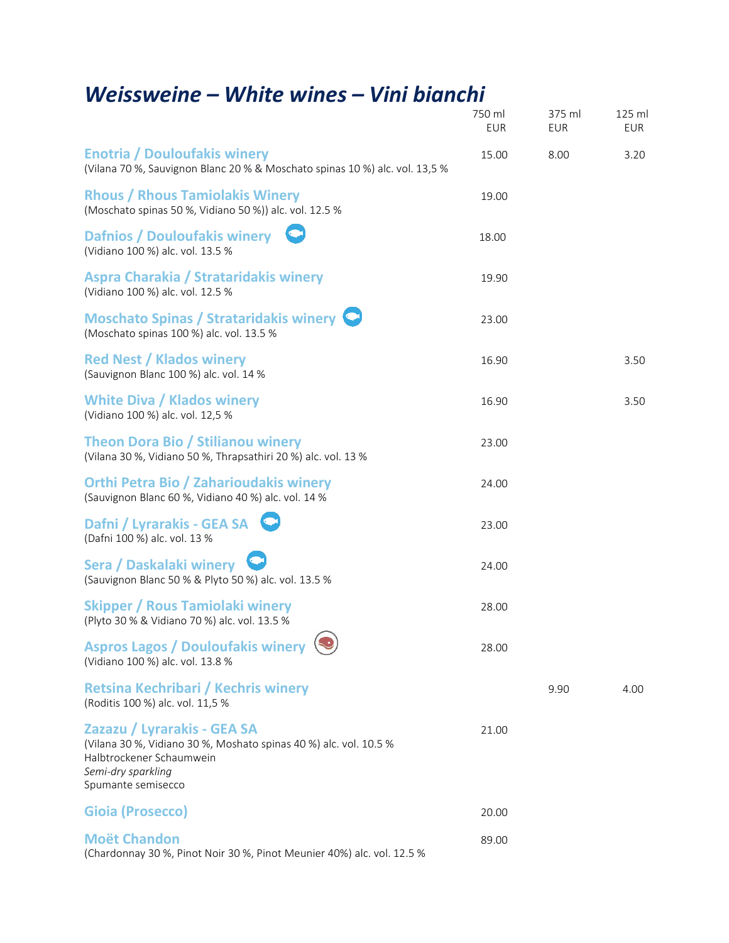## *Weissweine – White wines – Vini bianchi*

|                                                                                                                                                                          | 750 ml<br><b>EUR</b> | 375 ml<br><b>EUR</b> | 125 ml<br>EUR |
|--------------------------------------------------------------------------------------------------------------------------------------------------------------------------|----------------------|----------------------|---------------|
| <b>Enotria / Douloufakis winery</b><br>(Vilana 70 %, Sauvignon Blanc 20 % & Moschato spinas 10 %) alc. vol. 13,5 %                                                       | 15.00                | 8.00                 | 3.20          |
| <b>Rhous / Rhous Tamiolakis Winery</b><br>(Moschato spinas 50 %, Vidiano 50 %)) alc. vol. 12.5 %                                                                         | 19.00                |                      |               |
| <b>Dafnios / Douloufakis winery</b><br>(Vidiano 100 %) alc. vol. 13.5 %                                                                                                  | 18.00                |                      |               |
| <b>Aspra Charakia / Strataridakis winery</b><br>(Vidiano 100 %) alc. vol. 12.5 %                                                                                         | 19.90                |                      |               |
| Moschato Spinas / Strataridakis winery<br>(Moschato spinas 100 %) alc. vol. 13.5 %                                                                                       | 23.00                |                      |               |
| <b>Red Nest / Klados winery</b><br>(Sauvignon Blanc 100 %) alc. vol. 14 %                                                                                                | 16.90                |                      | 3.50          |
| <b>White Diva / Klados winery</b><br>(Vidiano 100 %) alc. vol. 12,5 %                                                                                                    | 16.90                |                      | 3.50          |
| <b>Theon Dora Bio / Stilianou winery</b><br>(Vilana 30 %, Vidiano 50 %, Thrapsathiri 20 %) alc. vol. 13 %                                                                | 23.00                |                      |               |
| <b>Orthi Petra Bio / Zaharioudakis winery</b><br>(Sauvignon Blanc 60 %, Vidiano 40 %) alc. vol. 14 %                                                                     | 24.00                |                      |               |
| Dafni / Lyrarakis - GEA SA<br>(Dafni 100 %) alc. vol. 13 %                                                                                                               | 23.00                |                      |               |
| Sera / Daskalaki winery<br>(Sauvignon Blanc 50 % & Plyto 50 %) alc. vol. 13.5 %                                                                                          | 24.00                |                      |               |
| <b>Skipper / Rous Tamiolaki winery</b><br>(Plyto 30 % & Vidiano 70 %) alc. vol. 13.5 %                                                                                   | 28.00                |                      |               |
| Aspros Lagos / Douloufakis winery $\circledast$<br>(Vidiano 100 %) alc. vol. 13.8 %                                                                                      | 28.00                |                      |               |
| <b>Retsina Kechribari / Kechris winery</b><br>(Roditis 100 %) alc. vol. 11,5 %                                                                                           |                      | 9.90                 | 4.00          |
| Zazazu / Lyrarakis - GEA SA<br>(Vilana 30 %, Vidiano 30 %, Moshato spinas 40 %) alc. vol. 10.5 %<br>Halbtrockener Schaumwein<br>Semi-dry sparkling<br>Spumante semisecco | 21.00                |                      |               |
| <b>Gioia (Prosecco)</b>                                                                                                                                                  | 20.00                |                      |               |
| <b>Moët Chandon</b><br>(Chardonnay 30 %, Pinot Noir 30 %, Pinot Meunier 40%) alc. vol. 12.5 %                                                                            | 89.00                |                      |               |